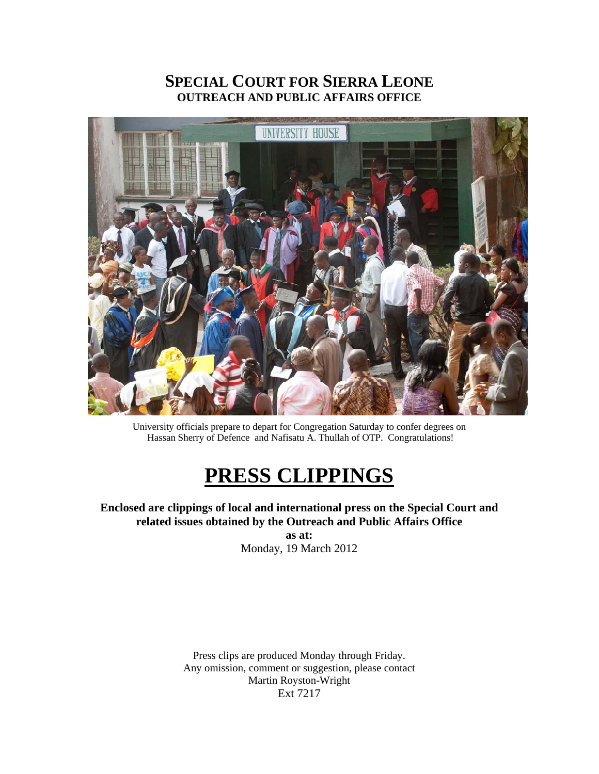### **SPECIAL COURT FOR SIERRA LEONE OUTREACH AND PUBLIC AFFAIRS OFFICE**



University officials prepare to depart for Congregation Saturday to confer degrees on Hassan Sherry of Defence and Nafisatu A. Thullah of OTP. Congratulations!

# **PRESS CLIPPINGS**

**Enclosed are clippings of local and international press on the Special Court and related issues obtained by the Outreach and Public Affairs Office as at:**  Monday, 19 March 2012

> Press clips are produced Monday through Friday. Any omission, comment or suggestion, please contact Martin Royston-Wright Ext 7217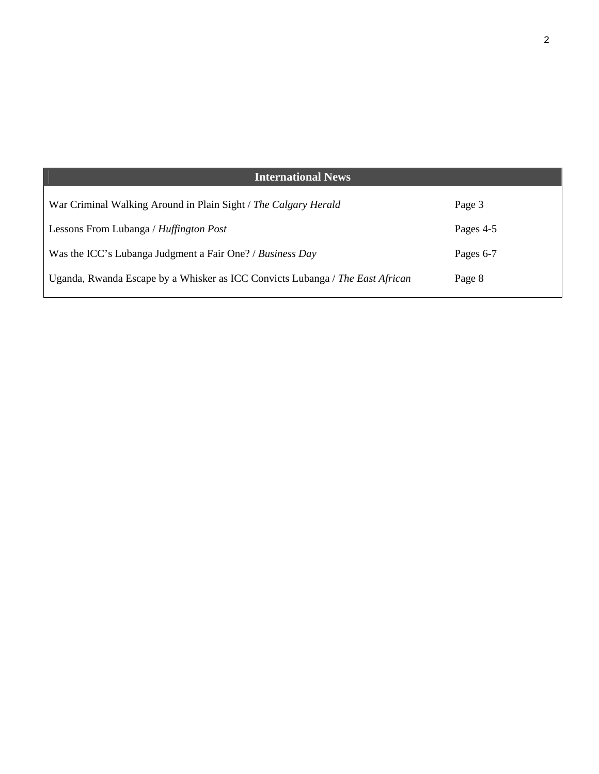| <b>International News</b>                                                     |           |
|-------------------------------------------------------------------------------|-----------|
| War Criminal Walking Around in Plain Sight / The Calgary Herald               | Page 3    |
| Lessons From Lubanga / Huffington Post                                        | Pages 4-5 |
| Was the ICC's Lubanga Judgment a Fair One? / Business Day                     | Pages 6-7 |
| Uganda, Rwanda Escape by a Whisker as ICC Convicts Lubanga / The East African | Page 8    |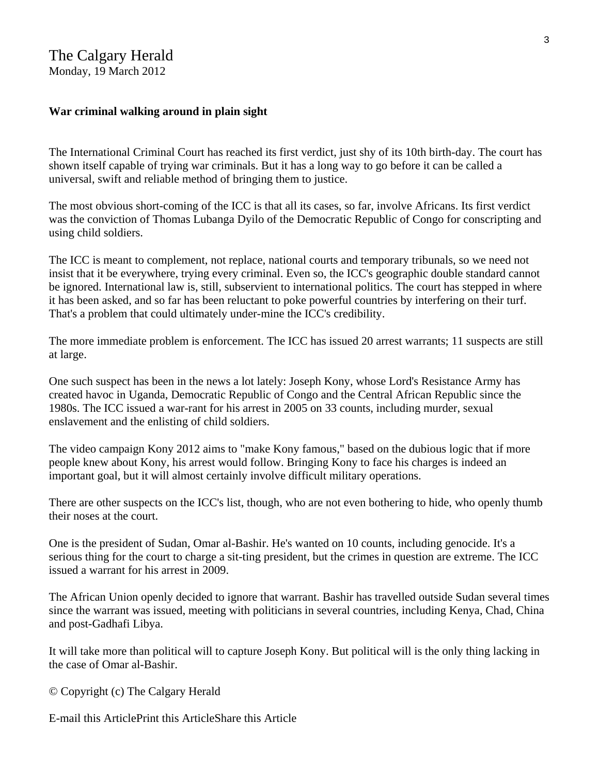#### **War criminal walking around in plain sight**

The International Criminal Court has reached its first verdict, just shy of its 10th birth-day. The court has shown itself capable of trying war criminals. But it has a long way to go before it can be called a universal, swift and reliable method of bringing them to justice.

The most obvious short-coming of the ICC is that all its cases, so far, involve Africans. Its first verdict was the conviction of Thomas Lubanga Dyilo of the Democratic Republic of Congo for conscripting and using child soldiers.

The ICC is meant to complement, not replace, national courts and temporary tribunals, so we need not insist that it be everywhere, trying every criminal. Even so, the ICC's geographic double standard cannot be ignored. International law is, still, subservient to international politics. The court has stepped in where it has been asked, and so far has been reluctant to poke powerful countries by interfering on their turf. That's a problem that could ultimately under-mine the ICC's credibility.

The more immediate problem is enforcement. The ICC has issued 20 arrest warrants; 11 suspects are still at large.

One such suspect has been in the news a lot lately: Joseph Kony, whose Lord's Resistance Army has created havoc in Uganda, Democratic Republic of Congo and the Central African Republic since the 1980s. The ICC issued a war-rant for his arrest in 2005 on 33 counts, including murder, sexual enslavement and the enlisting of child soldiers.

The video campaign Kony 2012 aims to "make Kony famous," based on the dubious logic that if more people knew about Kony, his arrest would follow. Bringing Kony to face his charges is indeed an important goal, but it will almost certainly involve difficult military operations.

There are other suspects on the ICC's list, though, who are not even bothering to hide, who openly thumb their noses at the court.

One is the president of Sudan, Omar al-Bashir. He's wanted on 10 counts, including genocide. It's a serious thing for the court to charge a sit-ting president, but the crimes in question are extreme. The ICC issued a warrant for his arrest in 2009.

The African Union openly decided to ignore that warrant. Bashir has travelled outside Sudan several times since the warrant was issued, meeting with politicians in several countries, including Kenya, Chad, China and post-Gadhafi Libya.

It will take more than political will to capture Joseph Kony. But political will is the only thing lacking in the case of Omar al-Bashir.

© Copyright (c) The Calgary Herald

E-mail this ArticlePrint this ArticleShare this Article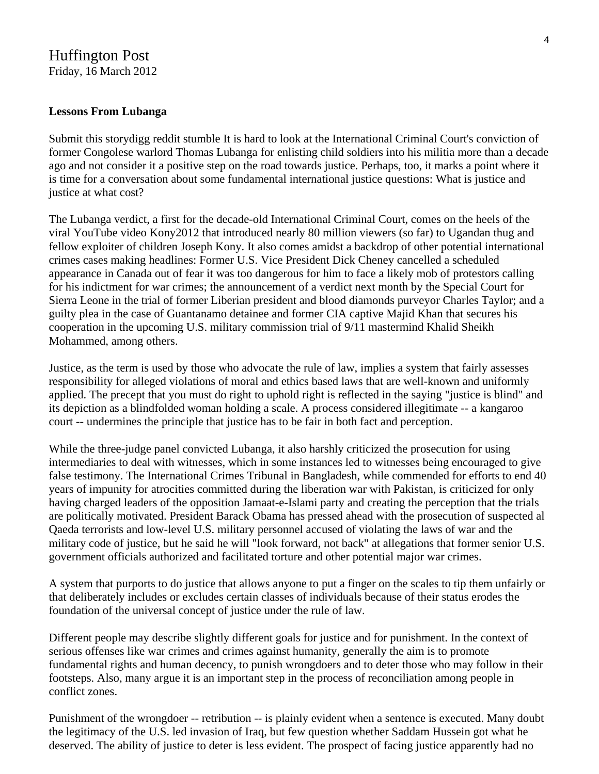## Huffington Post

Friday, 16 March 2012

#### **Lessons From Lubanga**

Submit this storydigg reddit stumble It is hard to look at the International Criminal Court's conviction of former Congolese warlord Thomas Lubanga for enlisting child soldiers into his militia more than a decade ago and not consider it a positive step on the road towards justice. Perhaps, too, it marks a point where it is time for a conversation about some fundamental international justice questions: What is justice and justice at what cost?

The Lubanga verdict, a first for the decade-old International Criminal Court, comes on the heels of the viral YouTube video Kony2012 that introduced nearly 80 million viewers (so far) to Ugandan thug and fellow exploiter of children Joseph Kony. It also comes amidst a backdrop of other potential international crimes cases making headlines: Former U.S. Vice President Dick Cheney cancelled a scheduled appearance in Canada out of fear it was too dangerous for him to face a likely mob of protestors calling for his indictment for war crimes; the announcement of a verdict next month by the Special Court for Sierra Leone in the trial of former Liberian president and blood diamonds purveyor Charles Taylor; and a guilty plea in the case of Guantanamo detainee and former CIA captive Majid Khan that secures his cooperation in the upcoming U.S. military commission trial of 9/11 mastermind Khalid Sheikh Mohammed, among others.

Justice, as the term is used by those who advocate the rule of law, implies a system that fairly assesses responsibility for alleged violations of moral and ethics based laws that are well-known and uniformly applied. The precept that you must do right to uphold right is reflected in the saying "justice is blind" and its depiction as a blindfolded woman holding a scale. A process considered illegitimate -- a kangaroo court -- undermines the principle that justice has to be fair in both fact and perception.

While the three-judge panel convicted Lubanga, it also harshly criticized the prosecution for using intermediaries to deal with witnesses, which in some instances led to witnesses being encouraged to give false testimony. The International Crimes Tribunal in Bangladesh, while commended for efforts to end 40 years of impunity for atrocities committed during the liberation war with Pakistan, is criticized for only having charged leaders of the opposition Jamaat-e-Islami party and creating the perception that the trials are politically motivated. President Barack Obama has pressed ahead with the prosecution of suspected al Qaeda terrorists and low-level U.S. military personnel accused of violating the laws of war and the military code of justice, but he said he will "look forward, not back" at allegations that former senior U.S. government officials authorized and facilitated torture and other potential major war crimes.

A system that purports to do justice that allows anyone to put a finger on the scales to tip them unfairly or that deliberately includes or excludes certain classes of individuals because of their status erodes the foundation of the universal concept of justice under the rule of law.

Different people may describe slightly different goals for justice and for punishment. In the context of serious offenses like war crimes and crimes against humanity, generally the aim is to promote fundamental rights and human decency, to punish wrongdoers and to deter those who may follow in their footsteps. Also, many argue it is an important step in the process of reconciliation among people in conflict zones.

Punishment of the wrongdoer -- retribution -- is plainly evident when a sentence is executed. Many doubt the legitimacy of the U.S. led invasion of Iraq, but few question whether Saddam Hussein got what he deserved. The ability of justice to deter is less evident. The prospect of facing justice apparently had no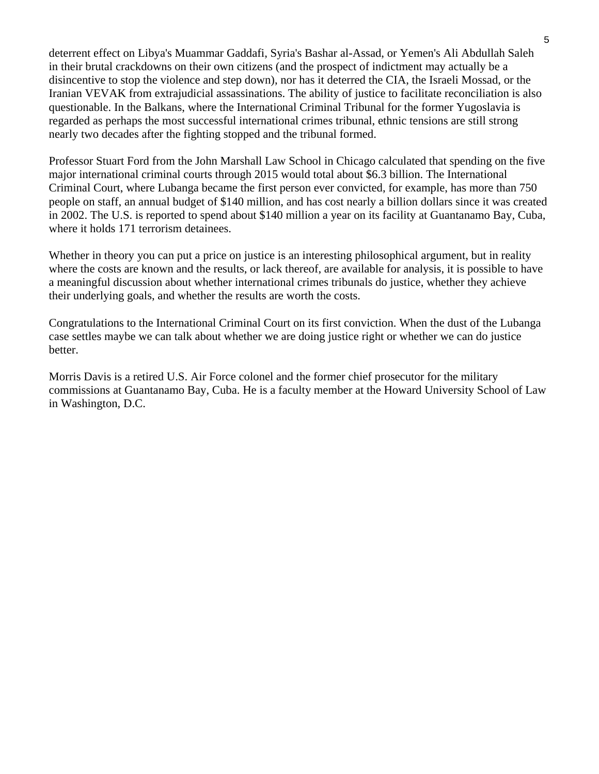deterrent effect on Libya's Muammar Gaddafi, Syria's Bashar al-Assad, or Yemen's Ali Abdullah Saleh in their brutal crackdowns on their own citizens (and the prospect of indictment may actually be a disincentive to stop the violence and step down), nor has it deterred the CIA, the Israeli Mossad, or the Iranian VEVAK from extrajudicial assassinations. The ability of justice to facilitate reconciliation is also questionable. In the Balkans, where the International Criminal Tribunal for the former Yugoslavia is regarded as perhaps the most successful international crimes tribunal, ethnic tensions are still strong nearly two decades after the fighting stopped and the tribunal formed.

Professor Stuart Ford from the John Marshall Law School in Chicago calculated that spending on the five major international criminal courts through 2015 would total about \$6.3 billion. The International Criminal Court, where Lubanga became the first person ever convicted, for example, has more than 750 people on staff, an annual budget of \$140 million, and has cost nearly a billion dollars since it was created in 2002. The U.S. is reported to spend about \$140 million a year on its facility at Guantanamo Bay, Cuba, where it holds 171 terrorism detainees.

Whether in theory you can put a price on justice is an interesting philosophical argument, but in reality where the costs are known and the results, or lack thereof, are available for analysis, it is possible to have a meaningful discussion about whether international crimes tribunals do justice, whether they achieve their underlying goals, and whether the results are worth the costs.

Congratulations to the International Criminal Court on its first conviction. When the dust of the Lubanga case settles maybe we can talk about whether we are doing justice right or whether we can do justice better.

Morris Davis is a retired U.S. Air Force colonel and the former chief prosecutor for the military commissions at Guantanamo Bay, Cuba. He is a faculty member at the Howard University School of Law in Washington, D.C.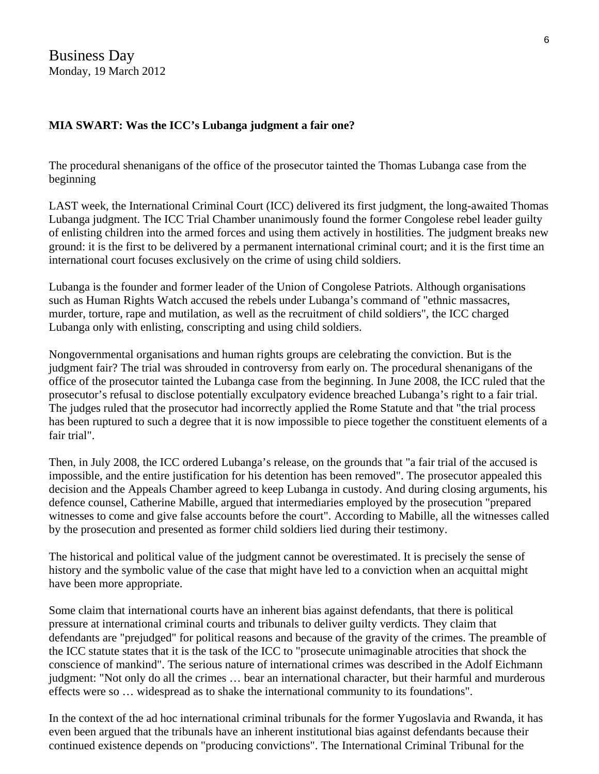Business Day Monday, 19 March 2012

#### **MIA SWART: Was the ICC's Lubanga judgment a fair one?**

The procedural shenanigans of the office of the prosecutor tainted the Thomas Lubanga case from the beginning

LAST week, the International Criminal Court (ICC) delivered its first judgment, the long-awaited Thomas Lubanga judgment. The ICC Trial Chamber unanimously found the former Congolese rebel leader guilty of enlisting children into the armed forces and using them actively in hostilities. The judgment breaks new ground: it is the first to be delivered by a permanent international criminal court; and it is the first time an international court focuses exclusively on the crime of using child soldiers.

Lubanga is the founder and former leader of the Union of Congolese Patriots. Although organisations such as Human Rights Watch accused the rebels under Lubanga's command of "ethnic massacres, murder, torture, rape and mutilation, as well as the recruitment of child soldiers", the ICC charged Lubanga only with enlisting, conscripting and using child soldiers.

Nongovernmental organisations and human rights groups are celebrating the conviction. But is the judgment fair? The trial was shrouded in controversy from early on. The procedural shenanigans of the office of the prosecutor tainted the Lubanga case from the beginning. In June 2008, the ICC ruled that the prosecutor's refusal to disclose potentially exculpatory evidence breached Lubanga's right to a fair trial. The judges ruled that the prosecutor had incorrectly applied the Rome Statute and that "the trial process has been ruptured to such a degree that it is now impossible to piece together the constituent elements of a fair trial".

Then, in July 2008, the ICC ordered Lubanga's release, on the grounds that "a fair trial of the accused is impossible, and the entire justification for his detention has been removed". The prosecutor appealed this decision and the Appeals Chamber agreed to keep Lubanga in custody. And during closing arguments, his defence counsel, Catherine Mabille, argued that intermediaries employed by the prosecution "prepared witnesses to come and give false accounts before the court". According to Mabille, all the witnesses called by the prosecution and presented as former child soldiers lied during their testimony.

The historical and political value of the judgment cannot be overestimated. It is precisely the sense of history and the symbolic value of the case that might have led to a conviction when an acquittal might have been more appropriate.

Some claim that international courts have an inherent bias against defendants, that there is political pressure at international criminal courts and tribunals to deliver guilty verdicts. They claim that defendants are "prejudged" for political reasons and because of the gravity of the crimes. The preamble of the ICC statute states that it is the task of the ICC to "prosecute unimaginable atrocities that shock the conscience of mankind". The serious nature of international crimes was described in the Adolf Eichmann judgment: "Not only do all the crimes … bear an international character, but their harmful and murderous effects were so … widespread as to shake the international community to its foundations".

In the context of the ad hoc international criminal tribunals for the former Yugoslavia and Rwanda, it has even been argued that the tribunals have an inherent institutional bias against defendants because their continued existence depends on "producing convictions". The International Criminal Tribunal for the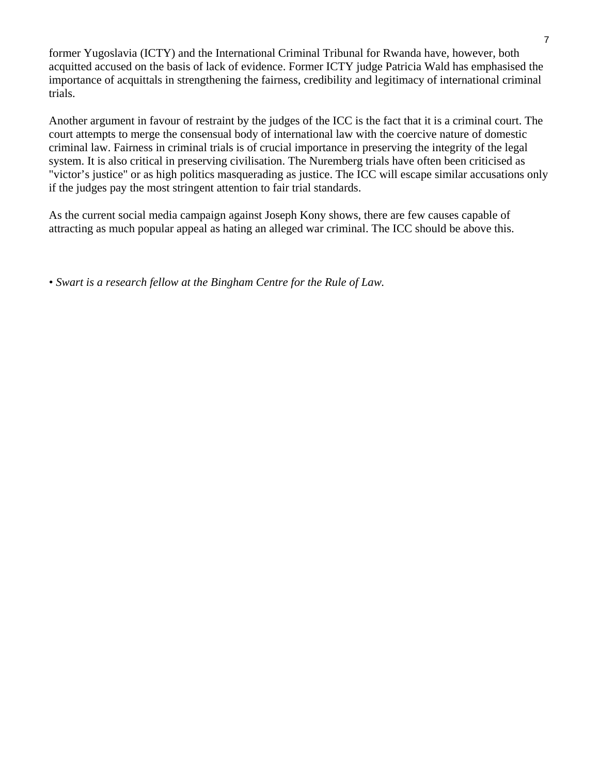former Yugoslavia (ICTY) and the International Criminal Tribunal for Rwanda have, however, both acquitted accused on the basis of lack of evidence. Former ICTY judge Patricia Wald has emphasised the importance of acquittals in strengthening the fairness, credibility and legitimacy of international criminal trials.

Another argument in favour of restraint by the judges of the ICC is the fact that it is a criminal court. The court attempts to merge the consensual body of international law with the coercive nature of domestic criminal law. Fairness in criminal trials is of crucial importance in preserving the integrity of the legal system. It is also critical in preserving civilisation. The Nuremberg trials have often been criticised as "victor's justice" or as high politics masquerading as justice. The ICC will escape similar accusations only if the judges pay the most stringent attention to fair trial standards.

As the current social media campaign against Joseph Kony shows, there are few causes capable of attracting as much popular appeal as hating an alleged war criminal. The ICC should be above this.

*• Swart is a research fellow at the Bingham Centre for the Rule of Law.*